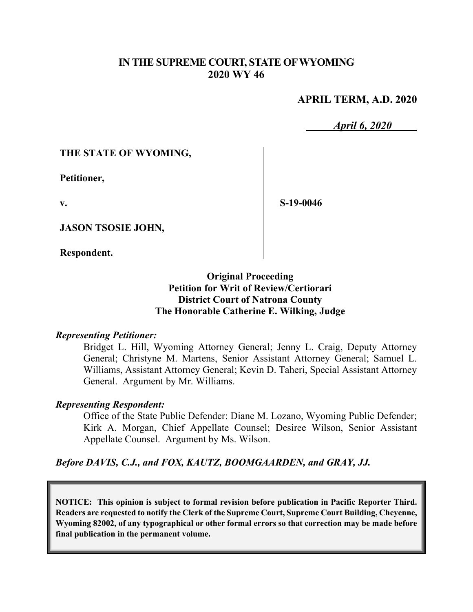## **IN THE SUPREME COURT, STATE OF WYOMING 2020 WY 46**

### **APRIL TERM, A.D. 2020**

*April 6, 2020*

### **THE STATE OF WYOMING,**

**Petitioner,**

**v.**

**S-19-0046**

**JASON TSOSIE JOHN,**

**Respondent.**

## **Original Proceeding Petition for Writ of Review/Certiorari District Court of Natrona County The Honorable Catherine E. Wilking, Judge**

#### *Representing Petitioner:*

Bridget L. Hill, Wyoming Attorney General; Jenny L. Craig, Deputy Attorney General; Christyne M. Martens, Senior Assistant Attorney General; Samuel L. Williams, Assistant Attorney General; Kevin D. Taheri, Special Assistant Attorney General. Argument by Mr. Williams.

### *Representing Respondent:*

Office of the State Public Defender: Diane M. Lozano, Wyoming Public Defender; Kirk A. Morgan, Chief Appellate Counsel; Desiree Wilson, Senior Assistant Appellate Counsel. Argument by Ms. Wilson.

*Before DAVIS, C.J., and FOX, KAUTZ, BOOMGAARDEN, and GRAY, JJ.*

**NOTICE: This opinion is subject to formal revision before publication in Pacific Reporter Third. Readers are requested to notify the Clerk of the Supreme Court, Supreme Court Building, Cheyenne, Wyoming 82002, of any typographical or other formal errors so that correction may be made before final publication in the permanent volume.**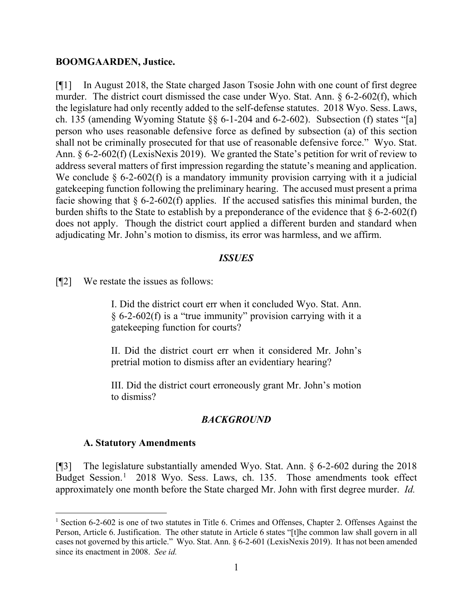#### **BOOMGAARDEN, Justice.**

[¶1] In August 2018, the State charged Jason Tsosie John with one count of first degree murder. The district court dismissed the case under Wyo. Stat. Ann. § 6-2-602(f), which the legislature had only recently added to the self-defense statutes. 2018 Wyo. Sess. Laws, ch. 135 (amending Wyoming Statute §§ 6-1-204 and 6-2-602). Subsection (f) states "[a] person who uses reasonable defensive force as defined by subsection (a) of this section shall not be criminally prosecuted for that use of reasonable defensive force." Wyo. Stat. Ann. § 6-2-602(f) (LexisNexis 2019). We granted the State's petition for writ of review to address several matters of first impression regarding the statute's meaning and application. We conclude  $\S$  6-2-602(f) is a mandatory immunity provision carrying with it a judicial gatekeeping function following the preliminary hearing. The accused must present a prima facie showing that  $\S$  6-2-602(f) applies. If the accused satisfies this minimal burden, the burden shifts to the State to establish by a preponderance of the evidence that  $\S 6$ -2-602(f) does not apply. Though the district court applied a different burden and standard when adjudicating Mr. John's motion to dismiss, its error was harmless, and we affirm.

#### *ISSUES*

[¶2] We restate the issues as follows:

I. Did the district court err when it concluded Wyo. Stat. Ann. § 6-2-602(f) is a "true immunity" provision carrying with it a gatekeeping function for courts?

II. Did the district court err when it considered Mr. John's pretrial motion to dismiss after an evidentiary hearing?

III. Did the district court erroneously grant Mr. John's motion to dismiss?

### *BACKGROUND*

#### **A. Statutory Amendments**

[¶3] The legislature substantially amended Wyo. Stat. Ann. § 6-2-602 during the 2018 Budget Session.<sup>[1](#page-1-0)</sup> 2018 Wyo. Sess. Laws, ch. 135. Those amendments took effect approximately one month before the State charged Mr. John with first degree murder. *Id.*

<span id="page-1-0"></span><sup>&</sup>lt;sup>1</sup> Section 6-2-602 is one of two statutes in Title 6. Crimes and Offenses, Chapter 2. Offenses Against the Person, Article 6. Justification. The other statute in Article 6 states "[t]he common law shall govern in all cases not governed by this article." Wyo. Stat. Ann. § 6-2-601 (LexisNexis 2019). It has not been amended since its enactment in 2008. *See id.*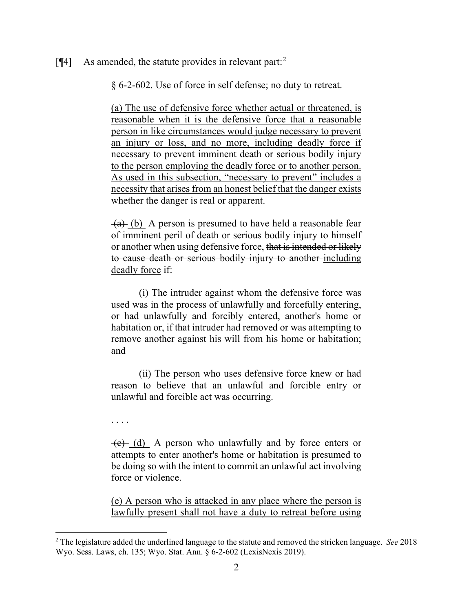#### [ $[$ 4] As amended, the statute provides in relevant part:<sup>[2](#page-2-0)</sup>

§ 6-2-602. Use of force in self defense; no duty to retreat.

(a) The use of defensive force whether actual or threatened, is reasonable when it is the defensive force that a reasonable person in like circumstances would judge necessary to prevent an injury or loss, and no more, including deadly force if necessary to prevent imminent death or serious bodily injury to the person employing the deadly force or to another person. As used in this subsection, "necessary to prevent" includes a necessity that arises from an honest belief that the danger exists whether the danger is real or apparent.

 $(a)$  (b) A person is presumed to have held a reasonable fear of imminent peril of death or serious bodily injury to himself or another when using defensive force, that is intended or likely to cause death or serious bodily injury to another including deadly force if:

(i) The intruder against whom the defensive force was used was in the process of unlawfully and forcefully entering, or had unlawfully and forcibly entered, another's home or habitation or, if that intruder had removed or was attempting to remove another against his will from his home or habitation; and

(ii) The person who uses defensive force knew or had reason to believe that an unlawful and forcible entry or unlawful and forcible act was occurring.

. . . .

 $\overline{(e)}$  (d) A person who unlawfully and by force enters or attempts to enter another's home or habitation is presumed to be doing so with the intent to commit an unlawful act involving force or violence.

(e) A person who is attacked in any place where the person is lawfully present shall not have a duty to retreat before using

<span id="page-2-0"></span><sup>2</sup> The legislature added the underlined language to the statute and removed the stricken language. *See* 2018 Wyo. Sess. Laws, ch. 135; Wyo. Stat. Ann. § 6-2-602 (LexisNexis 2019).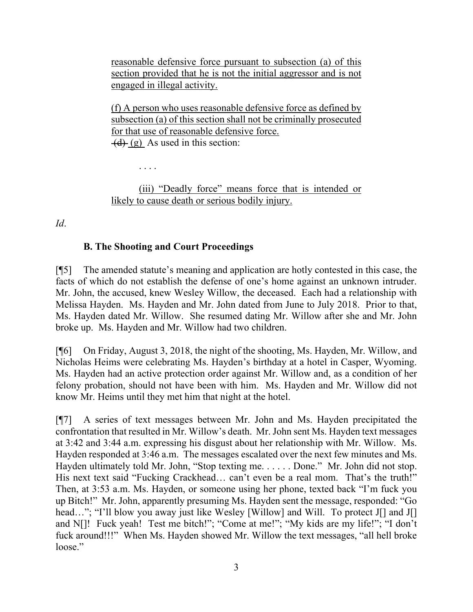reasonable defensive force pursuant to subsection (a) of this section provided that he is not the initial aggressor and is not engaged in illegal activity.

(f) A person who uses reasonable defensive force as defined by subsection (a) of this section shall not be criminally prosecuted for that use of reasonable defensive force.  $(d)$  (g) As used in this section:

. . . .

(iii) "Deadly force" means force that is intended or likely to cause death or serious bodily injury.

*Id*.

# **B. The Shooting and Court Proceedings**

[¶5] The amended statute's meaning and application are hotly contested in this case, the facts of which do not establish the defense of one's home against an unknown intruder. Mr. John, the accused, knew Wesley Willow, the deceased. Each had a relationship with Melissa Hayden. Ms. Hayden and Mr. John dated from June to July 2018. Prior to that, Ms. Hayden dated Mr. Willow. She resumed dating Mr. Willow after she and Mr. John broke up. Ms. Hayden and Mr. Willow had two children.

[¶6] On Friday, August 3, 2018, the night of the shooting, Ms. Hayden, Mr. Willow, and Nicholas Heims were celebrating Ms. Hayden's birthday at a hotel in Casper, Wyoming. Ms. Hayden had an active protection order against Mr. Willow and, as a condition of her felony probation, should not have been with him. Ms. Hayden and Mr. Willow did not know Mr. Heims until they met him that night at the hotel.

[¶7] A series of text messages between Mr. John and Ms. Hayden precipitated the confrontation that resulted in Mr. Willow's death. Mr. John sent Ms. Hayden text messages at 3:42 and 3:44 a.m. expressing his disgust about her relationship with Mr. Willow. Ms. Hayden responded at 3:46 a.m. The messages escalated over the next few minutes and Ms. Hayden ultimately told Mr. John, "Stop texting me. . . . . . Done." Mr. John did not stop. His next text said "Fucking Crackhead... can't even be a real mom. That's the truth!" Then, at 3:53 a.m. Ms. Hayden, or someone using her phone, texted back "I'm fuck you up Bitch!" Mr. John, apparently presuming Ms. Hayden sent the message, responded: "Go head..."; "I'll blow you away just like Wesley [Willow] and Will. To protect J[] and J[] and N[]! Fuck yeah! Test me bitch!"; "Come at me!"; "My kids are my life!"; "I don't fuck around!!!" When Ms. Hayden showed Mr. Willow the text messages, "all hell broke loose."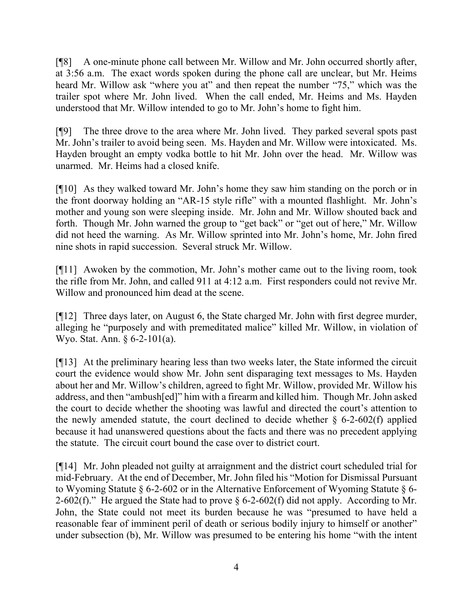[¶8] A one-minute phone call between Mr. Willow and Mr. John occurred shortly after, at 3:56 a.m. The exact words spoken during the phone call are unclear, but Mr. Heims heard Mr. Willow ask "where you at" and then repeat the number "75," which was the trailer spot where Mr. John lived. When the call ended, Mr. Heims and Ms. Hayden understood that Mr. Willow intended to go to Mr. John's home to fight him.

[¶9] The three drove to the area where Mr. John lived. They parked several spots past Mr. John's trailer to avoid being seen. Ms. Hayden and Mr. Willow were intoxicated. Ms. Hayden brought an empty vodka bottle to hit Mr. John over the head. Mr. Willow was unarmed. Mr. Heims had a closed knife.

[¶10] As they walked toward Mr. John's home they saw him standing on the porch or in the front doorway holding an "AR-15 style rifle" with a mounted flashlight. Mr. John's mother and young son were sleeping inside. Mr. John and Mr. Willow shouted back and forth. Though Mr. John warned the group to "get back" or "get out of here," Mr. Willow did not heed the warning. As Mr. Willow sprinted into Mr. John's home, Mr. John fired nine shots in rapid succession. Several struck Mr. Willow.

[¶11] Awoken by the commotion, Mr. John's mother came out to the living room, took the rifle from Mr. John, and called 911 at 4:12 a.m. First responders could not revive Mr. Willow and pronounced him dead at the scene.

[¶12] Three days later, on August 6, the State charged Mr. John with first degree murder, alleging he "purposely and with premeditated malice" killed Mr. Willow, in violation of Wyo. Stat. Ann. § 6-2-101(a).

[¶13] At the preliminary hearing less than two weeks later, the State informed the circuit court the evidence would show Mr. John sent disparaging text messages to Ms. Hayden about her and Mr. Willow's children, agreed to fight Mr. Willow, provided Mr. Willow his address, and then "ambush[ed]" him with a firearm and killed him. Though Mr. John asked the court to decide whether the shooting was lawful and directed the court's attention to the newly amended statute, the court declined to decide whether  $\S$  6-2-602(f) applied because it had unanswered questions about the facts and there was no precedent applying the statute. The circuit court bound the case over to district court.

[¶14] Mr. John pleaded not guilty at arraignment and the district court scheduled trial for mid-February. At the end of December, Mr. John filed his "Motion for Dismissal Pursuant to Wyoming Statute § 6-2-602 or in the Alternative Enforcement of Wyoming Statute § 6- 2-602(f)." He argued the State had to prove  $\S 6$ -2-602(f) did not apply. According to Mr. John, the State could not meet its burden because he was "presumed to have held a reasonable fear of imminent peril of death or serious bodily injury to himself or another" under subsection (b), Mr. Willow was presumed to be entering his home "with the intent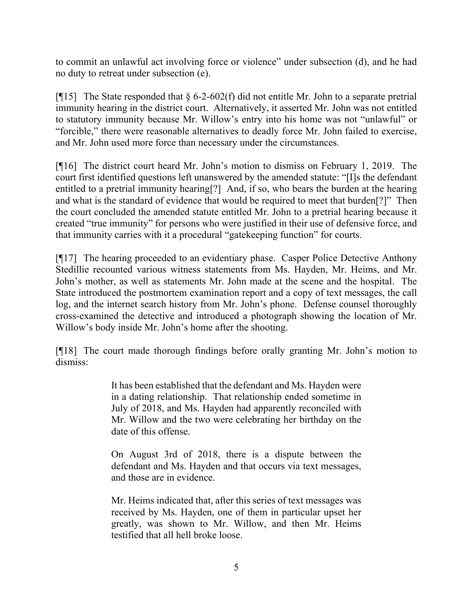to commit an unlawful act involving force or violence" under subsection (d), and he had no duty to retreat under subsection (e).

[ $\llbracket \cdot \rrbracket$ ] The State responded that § 6-2-602(f) did not entitle Mr. John to a separate pretrial immunity hearing in the district court. Alternatively, it asserted Mr. John was not entitled to statutory immunity because Mr. Willow's entry into his home was not "unlawful" or "forcible," there were reasonable alternatives to deadly force Mr. John failed to exercise, and Mr. John used more force than necessary under the circumstances.

[¶16] The district court heard Mr. John's motion to dismiss on February 1, 2019. The court first identified questions left unanswered by the amended statute: "[I]s the defendant entitled to a pretrial immunity hearing[?] And, if so, who bears the burden at the hearing and what is the standard of evidence that would be required to meet that burden[?]" Then the court concluded the amended statute entitled Mr. John to a pretrial hearing because it created "true immunity" for persons who were justified in their use of defensive force, and that immunity carries with it a procedural "gatekeeping function" for courts.

[¶17] The hearing proceeded to an evidentiary phase. Casper Police Detective Anthony Stedillie recounted various witness statements from Ms. Hayden, Mr. Heims, and Mr. John's mother, as well as statements Mr. John made at the scene and the hospital. The State introduced the postmortem examination report and a copy of text messages, the call log, and the internet search history from Mr. John's phone. Defense counsel thoroughly cross-examined the detective and introduced a photograph showing the location of Mr. Willow's body inside Mr. John's home after the shooting.

[¶18] The court made thorough findings before orally granting Mr. John's motion to dismiss:

> It has been established that the defendant and Ms. Hayden were in a dating relationship. That relationship ended sometime in July of 2018, and Ms. Hayden had apparently reconciled with Mr. Willow and the two were celebrating her birthday on the date of this offense.

> On August 3rd of 2018, there is a dispute between the defendant and Ms. Hayden and that occurs via text messages, and those are in evidence.

> Mr. Heims indicated that, after this series of text messages was received by Ms. Hayden, one of them in particular upset her greatly, was shown to Mr. Willow, and then Mr. Heims testified that all hell broke loose.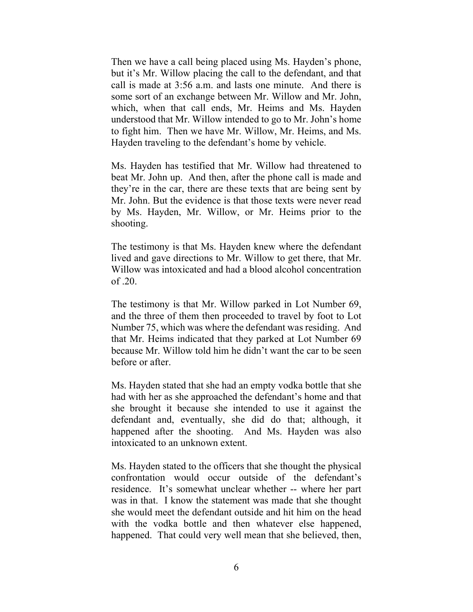Then we have a call being placed using Ms. Hayden's phone, but it's Mr. Willow placing the call to the defendant, and that call is made at 3:56 a.m. and lasts one minute. And there is some sort of an exchange between Mr. Willow and Mr. John, which, when that call ends, Mr. Heims and Ms. Hayden understood that Mr. Willow intended to go to Mr. John's home to fight him. Then we have Mr. Willow, Mr. Heims, and Ms. Hayden traveling to the defendant's home by vehicle.

Ms. Hayden has testified that Mr. Willow had threatened to beat Mr. John up. And then, after the phone call is made and they're in the car, there are these texts that are being sent by Mr. John. But the evidence is that those texts were never read by Ms. Hayden, Mr. Willow, or Mr. Heims prior to the shooting.

The testimony is that Ms. Hayden knew where the defendant lived and gave directions to Mr. Willow to get there, that Mr. Willow was intoxicated and had a blood alcohol concentration of .20.

The testimony is that Mr. Willow parked in Lot Number 69, and the three of them then proceeded to travel by foot to Lot Number 75, which was where the defendant was residing. And that Mr. Heims indicated that they parked at Lot Number 69 because Mr. Willow told him he didn't want the car to be seen before or after.

Ms. Hayden stated that she had an empty vodka bottle that she had with her as she approached the defendant's home and that she brought it because she intended to use it against the defendant and, eventually, she did do that; although, it happened after the shooting. And Ms. Hayden was also intoxicated to an unknown extent.

Ms. Hayden stated to the officers that she thought the physical confrontation would occur outside of the defendant's residence. It's somewhat unclear whether -- where her part was in that. I know the statement was made that she thought she would meet the defendant outside and hit him on the head with the vodka bottle and then whatever else happened, happened. That could very well mean that she believed, then,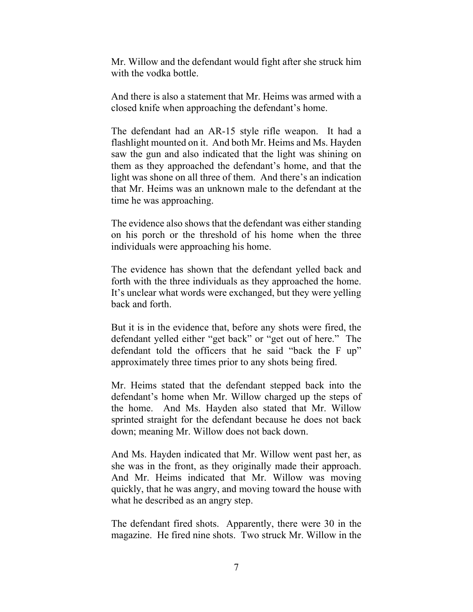Mr. Willow and the defendant would fight after she struck him with the vodka bottle.

And there is also a statement that Mr. Heims was armed with a closed knife when approaching the defendant's home.

The defendant had an AR-15 style rifle weapon. It had a flashlight mounted on it. And both Mr. Heims and Ms. Hayden saw the gun and also indicated that the light was shining on them as they approached the defendant's home, and that the light was shone on all three of them. And there's an indication that Mr. Heims was an unknown male to the defendant at the time he was approaching.

The evidence also shows that the defendant was either standing on his porch or the threshold of his home when the three individuals were approaching his home.

The evidence has shown that the defendant yelled back and forth with the three individuals as they approached the home. It's unclear what words were exchanged, but they were yelling back and forth.

But it is in the evidence that, before any shots were fired, the defendant yelled either "get back" or "get out of here." The defendant told the officers that he said "back the F up" approximately three times prior to any shots being fired.

Mr. Heims stated that the defendant stepped back into the defendant's home when Mr. Willow charged up the steps of the home. And Ms. Hayden also stated that Mr. Willow sprinted straight for the defendant because he does not back down; meaning Mr. Willow does not back down.

And Ms. Hayden indicated that Mr. Willow went past her, as she was in the front, as they originally made their approach. And Mr. Heims indicated that Mr. Willow was moving quickly, that he was angry, and moving toward the house with what he described as an angry step.

The defendant fired shots. Apparently, there were 30 in the magazine. He fired nine shots. Two struck Mr. Willow in the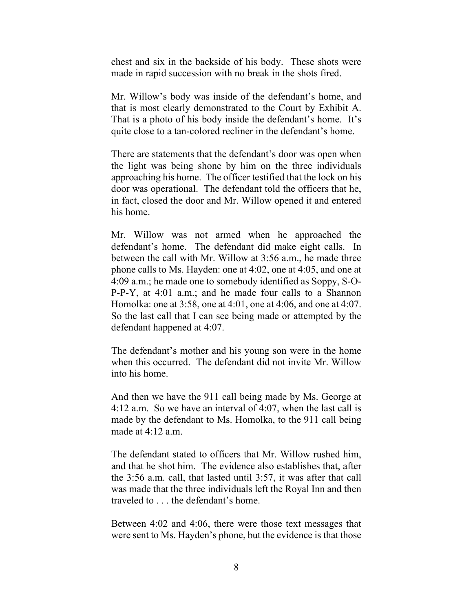chest and six in the backside of his body. These shots were made in rapid succession with no break in the shots fired.

Mr. Willow's body was inside of the defendant's home, and that is most clearly demonstrated to the Court by Exhibit A. That is a photo of his body inside the defendant's home. It's quite close to a tan-colored recliner in the defendant's home.

There are statements that the defendant's door was open when the light was being shone by him on the three individuals approaching his home. The officer testified that the lock on his door was operational. The defendant told the officers that he, in fact, closed the door and Mr. Willow opened it and entered his home.

Mr. Willow was not armed when he approached the defendant's home. The defendant did make eight calls. In between the call with Mr. Willow at 3:56 a.m., he made three phone calls to Ms. Hayden: one at 4:02, one at 4:05, and one at 4:09 a.m.; he made one to somebody identified as Soppy, S-O-P-P-Y, at 4:01 a.m.; and he made four calls to a Shannon Homolka: one at 3:58, one at 4:01, one at 4:06, and one at 4:07. So the last call that I can see being made or attempted by the defendant happened at 4:07.

The defendant's mother and his young son were in the home when this occurred. The defendant did not invite Mr. Willow into his home.

And then we have the 911 call being made by Ms. George at 4:12 a.m. So we have an interval of 4:07, when the last call is made by the defendant to Ms. Homolka, to the 911 call being made at 4:12 a.m.

The defendant stated to officers that Mr. Willow rushed him, and that he shot him. The evidence also establishes that, after the 3:56 a.m. call, that lasted until 3:57, it was after that call was made that the three individuals left the Royal Inn and then traveled to . . . the defendant's home.

Between 4:02 and 4:06, there were those text messages that were sent to Ms. Hayden's phone, but the evidence is that those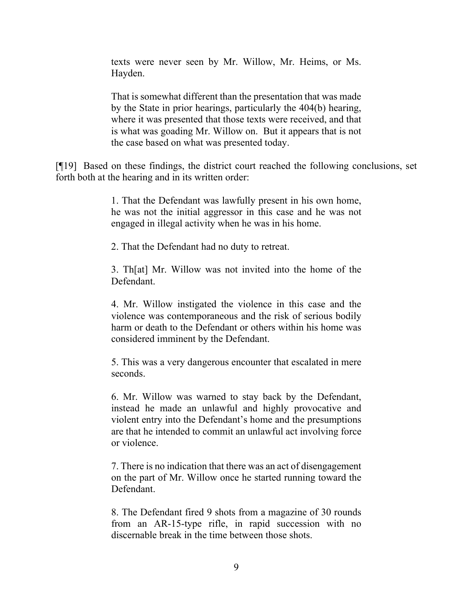texts were never seen by Mr. Willow, Mr. Heims, or Ms. Hayden.

That is somewhat different than the presentation that was made by the State in prior hearings, particularly the 404(b) hearing, where it was presented that those texts were received, and that is what was goading Mr. Willow on. But it appears that is not the case based on what was presented today.

[¶19] Based on these findings, the district court reached the following conclusions, set forth both at the hearing and in its written order:

> 1. That the Defendant was lawfully present in his own home, he was not the initial aggressor in this case and he was not engaged in illegal activity when he was in his home.

2. That the Defendant had no duty to retreat.

3. Th[at] Mr. Willow was not invited into the home of the Defendant.

4. Mr. Willow instigated the violence in this case and the violence was contemporaneous and the risk of serious bodily harm or death to the Defendant or others within his home was considered imminent by the Defendant.

5. This was a very dangerous encounter that escalated in mere seconds.

6. Mr. Willow was warned to stay back by the Defendant, instead he made an unlawful and highly provocative and violent entry into the Defendant's home and the presumptions are that he intended to commit an unlawful act involving force or violence.

7. There is no indication that there was an act of disengagement on the part of Mr. Willow once he started running toward the Defendant.

8. The Defendant fired 9 shots from a magazine of 30 rounds from an AR-15-type rifle, in rapid succession with no discernable break in the time between those shots.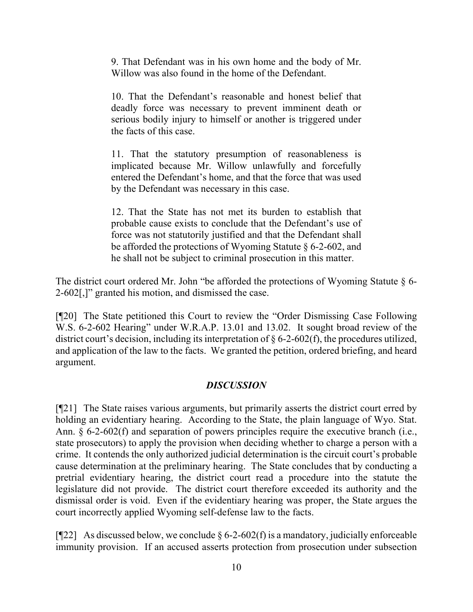9. That Defendant was in his own home and the body of Mr. Willow was also found in the home of the Defendant.

10. That the Defendant's reasonable and honest belief that deadly force was necessary to prevent imminent death or serious bodily injury to himself or another is triggered under the facts of this case.

11. That the statutory presumption of reasonableness is implicated because Mr. Willow unlawfully and forcefully entered the Defendant's home, and that the force that was used by the Defendant was necessary in this case.

12. That the State has not met its burden to establish that probable cause exists to conclude that the Defendant's use of force was not statutorily justified and that the Defendant shall be afforded the protections of Wyoming Statute § 6-2-602, and he shall not be subject to criminal prosecution in this matter.

The district court ordered Mr. John "be afforded the protections of Wyoming Statute  $\S$  6-2-602[,]" granted his motion, and dismissed the case.

[¶20] The State petitioned this Court to review the "Order Dismissing Case Following W.S. 6-2-602 Hearing" under W.R.A.P. 13.01 and 13.02. It sought broad review of the district court's decision, including its interpretation of § 6-2-602(f), the procedures utilized, and application of the law to the facts. We granted the petition, ordered briefing, and heard argument.

## *DISCUSSION*

[¶21] The State raises various arguments, but primarily asserts the district court erred by holding an evidentiary hearing. According to the State, the plain language of Wyo. Stat. Ann. § 6-2-602(f) and separation of powers principles require the executive branch (i.e., state prosecutors) to apply the provision when deciding whether to charge a person with a crime. It contends the only authorized judicial determination is the circuit court's probable cause determination at the preliminary hearing. The State concludes that by conducting a pretrial evidentiary hearing, the district court read a procedure into the statute the legislature did not provide. The district court therefore exceeded its authority and the dismissal order is void. Even if the evidentiary hearing was proper, the State argues the court incorrectly applied Wyoming self-defense law to the facts.

[ $[$ [22] As discussed below, we conclude § 6-2-602(f) is a mandatory, judicially enforceable immunity provision. If an accused asserts protection from prosecution under subsection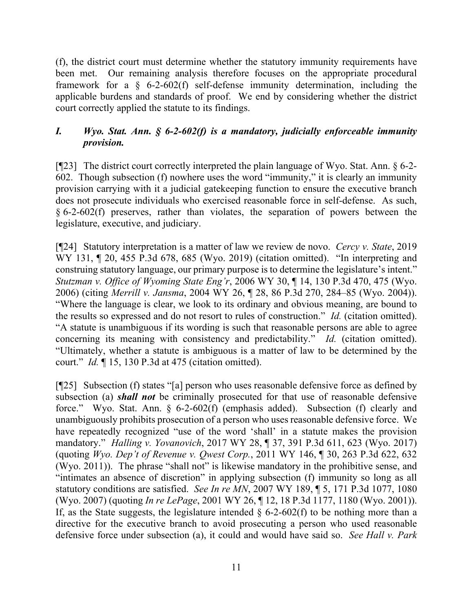(f), the district court must determine whether the statutory immunity requirements have been met. Our remaining analysis therefore focuses on the appropriate procedural framework for a § 6-2-602(f) self-defense immunity determination, including the applicable burdens and standards of proof. We end by considering whether the district court correctly applied the statute to its findings.

# *I. Wyo. Stat. Ann. § 6-2-602(f) is a mandatory, judicially enforceable immunity provision.*

[¶23] The district court correctly interpreted the plain language of Wyo. Stat. Ann. § 6-2- 602. Though subsection (f) nowhere uses the word "immunity," it is clearly an immunity provision carrying with it a judicial gatekeeping function to ensure the executive branch does not prosecute individuals who exercised reasonable force in self-defense. As such, § 6-2-602(f) preserves, rather than violates, the separation of powers between the legislature, executive, and judiciary.

[¶24] Statutory interpretation is a matter of law we review de novo. *Cercy v. State*, 2019 WY 131, ¶ 20, 455 P.3d 678, 685 (Wyo. 2019) (citation omitted). "In interpreting and construing statutory language, our primary purpose is to determine the legislature's intent." *Stutzman v. Office of Wyoming State Eng'r*, 2006 WY 30, ¶ 14, 130 P.3d 470, 475 (Wyo. 2006) (citing *Merrill v. Jansma*, 2004 WY 26, ¶ 28, 86 P.3d 270, 284–85 (Wyo. 2004)). "Where the language is clear, we look to its ordinary and obvious meaning, are bound to the results so expressed and do not resort to rules of construction." *Id.* (citation omitted). "A statute is unambiguous if its wording is such that reasonable persons are able to agree concerning its meaning with consistency and predictability." *Id.* (citation omitted). "Ultimately, whether a statute is ambiguous is a matter of law to be determined by the court." *Id.* ¶ 15, 130 P.3d at 475 (citation omitted).

[¶25] Subsection (f) states "[a] person who uses reasonable defensive force as defined by subsection (a) *shall not* be criminally prosecuted for that use of reasonable defensive force." Wyo. Stat. Ann. § 6-2-602(f) (emphasis added). Subsection (f) clearly and unambiguously prohibits prosecution of a person who uses reasonable defensive force. We have repeatedly recognized "use of the word 'shall' in a statute makes the provision mandatory." *Halling v. Yovanovich*, 2017 WY 28, ¶ 37, 391 P.3d 611, 623 (Wyo. 2017) (quoting *Wyo. Dep't of Revenue v. Qwest Corp.*, 2011 WY 146, ¶ 30, 263 P.3d 622, 632 (Wyo. 2011)). The phrase "shall not" is likewise mandatory in the prohibitive sense, and "intimates an absence of discretion" in applying subsection (f) immunity so long as all statutory conditions are satisfied. *See In re MN*, 2007 WY 189, ¶ 5, 171 P.3d 1077, 1080 (Wyo. 2007) (quoting *In re LePage*, 2001 WY 26, ¶ 12, 18 P.3d 1177, 1180 (Wyo. 2001)). If, as the State suggests, the legislature intended  $\S$  6-2-602(f) to be nothing more than a directive for the executive branch to avoid prosecuting a person who used reasonable defensive force under subsection (a), it could and would have said so. *See Hall v. Park*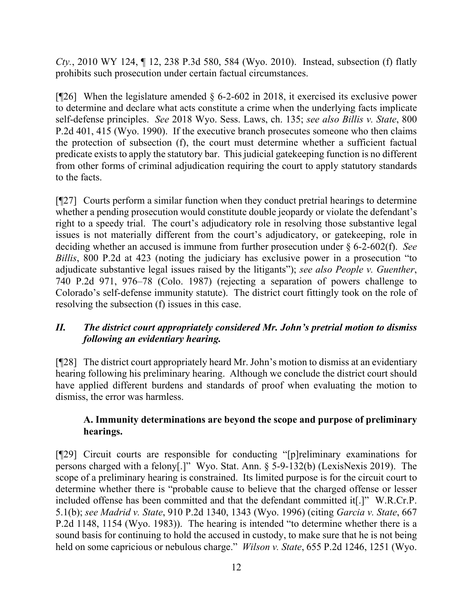*Cty.*, 2010 WY 124, ¶ 12, 238 P.3d 580, 584 (Wyo. 2010). Instead, subsection (f) flatly prohibits such prosecution under certain factual circumstances.

[ $[26]$ ] When the legislature amended § 6-2-602 in 2018, it exercised its exclusive power to determine and declare what acts constitute a crime when the underlying facts implicate self-defense principles. *See* 2018 Wyo. Sess. Laws, ch. 135; *see also Billis v. State*, 800 P.2d 401, 415 (Wyo. 1990). If the executive branch prosecutes someone who then claims the protection of subsection (f), the court must determine whether a sufficient factual predicate exists to apply the statutory bar. This judicial gatekeeping function is no different from other forms of criminal adjudication requiring the court to apply statutory standards to the facts.

[¶27] Courts perform a similar function when they conduct pretrial hearings to determine whether a pending prosecution would constitute double jeopardy or violate the defendant's right to a speedy trial. The court's adjudicatory role in resolving those substantive legal issues is not materially different from the court's adjudicatory, or gatekeeping, role in deciding whether an accused is immune from further prosecution under § 6-2-602(f). *See Billis*, 800 P.2d at 423 (noting the judiciary has exclusive power in a prosecution "to adjudicate substantive legal issues raised by the litigants"); *see also People v. Guenther*, 740 P.2d 971, 976–78 (Colo. 1987) (rejecting a separation of powers challenge to Colorado's self-defense immunity statute). The district court fittingly took on the role of resolving the subsection (f) issues in this case.

## *II. The district court appropriately considered Mr. John's pretrial motion to dismiss following an evidentiary hearing.*

[¶28] The district court appropriately heard Mr. John's motion to dismiss at an evidentiary hearing following his preliminary hearing. Although we conclude the district court should have applied different burdens and standards of proof when evaluating the motion to dismiss, the error was harmless.

## **A. Immunity determinations are beyond the scope and purpose of preliminary hearings.**

[¶29] Circuit courts are responsible for conducting "[p]reliminary examinations for persons charged with a felony[.]" Wyo. Stat. Ann. § 5-9-132(b) (LexisNexis 2019). The scope of a preliminary hearing is constrained. Its limited purpose is for the circuit court to determine whether there is "probable cause to believe that the charged offense or lesser included offense has been committed and that the defendant committed it[.]" W.R.Cr.P. 5.1(b); *see Madrid v. State*, 910 P.2d 1340, 1343 (Wyo. 1996) (citing *Garcia v. State*, 667 P.2d 1148, 1154 (Wyo. 1983)). The hearing is intended "to determine whether there is a sound basis for continuing to hold the accused in custody, to make sure that he is not being held on some capricious or nebulous charge." *Wilson v. State*, 655 P.2d 1246, 1251 (Wyo.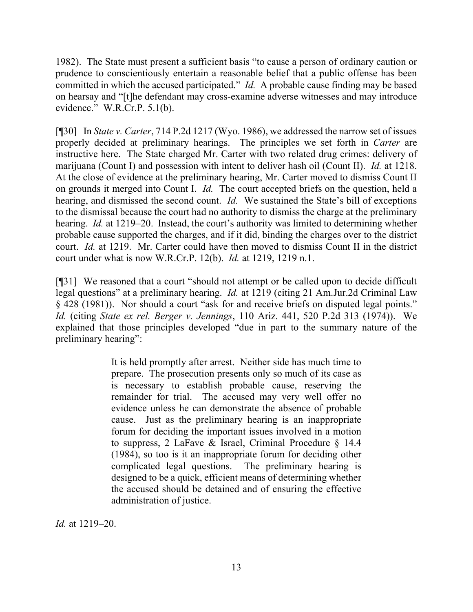1982). The State must present a sufficient basis "to cause a person of ordinary caution or prudence to conscientiously entertain a reasonable belief that a public offense has been committed in which the accused participated." *Id.* A probable cause finding may be based on hearsay and "[t]he defendant may cross-examine adverse witnesses and may introduce evidence." W.R.Cr.P. 5.1(b).

[¶30] In *State v. Carter*, 714 P.2d 1217 (Wyo. 1986), we addressed the narrow set of issues properly decided at preliminary hearings. The principles we set forth in *Carter* are instructive here. The State charged Mr. Carter with two related drug crimes: delivery of marijuana (Count I) and possession with intent to deliver hash oil (Count II). *Id.* at 1218. At the close of evidence at the preliminary hearing, Mr. Carter moved to dismiss Count II on grounds it merged into Count I. *Id.* The court accepted briefs on the question, held a hearing, and dismissed the second count. *Id.* We sustained the State's bill of exceptions to the dismissal because the court had no authority to dismiss the charge at the preliminary hearing. *Id.* at 1219–20. Instead, the court's authority was limited to determining whether probable cause supported the charges, and if it did, binding the charges over to the district court. *Id.* at 1219. Mr. Carter could have then moved to dismiss Count II in the district court under what is now W.R.Cr.P. 12(b). *Id.* at 1219, 1219 n.1.

[¶31] We reasoned that a court "should not attempt or be called upon to decide difficult legal questions" at a preliminary hearing. *Id.* at 1219 (citing 21 Am.Jur.2d Criminal Law § 428 (1981)). Nor should a court "ask for and receive briefs on disputed legal points." *Id.* (citing *State ex rel. Berger v. Jennings*, 110 Ariz. 441, 520 P.2d 313 (1974)). We explained that those principles developed "due in part to the summary nature of the preliminary hearing":

> It is held promptly after arrest. Neither side has much time to prepare. The prosecution presents only so much of its case as is necessary to establish probable cause, reserving the remainder for trial. The accused may very well offer no evidence unless he can demonstrate the absence of probable cause. Just as the preliminary hearing is an inappropriate forum for deciding the important issues involved in a motion to suppress, 2 LaFave & Israel, Criminal Procedure § 14.4 (1984), so too is it an inappropriate forum for deciding other complicated legal questions. The preliminary hearing is designed to be a quick, efficient means of determining whether the accused should be detained and of ensuring the effective administration of justice.

*Id.* at 1219–20.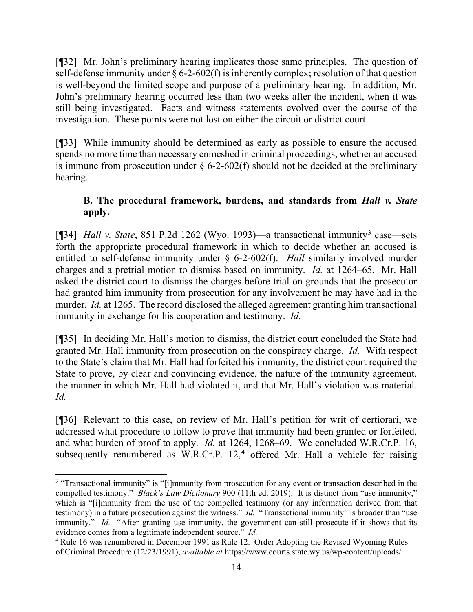[¶32] Mr. John's preliminary hearing implicates those same principles. The question of self-defense immunity under  $\S 6$ -2-602(f) is inherently complex; resolution of that question is well-beyond the limited scope and purpose of a preliminary hearing. In addition, Mr. John's preliminary hearing occurred less than two weeks after the incident, when it was still being investigated. Facts and witness statements evolved over the course of the investigation. These points were not lost on either the circuit or district court.

[¶33] While immunity should be determined as early as possible to ensure the accused spends no more time than necessary enmeshed in criminal proceedings, whether an accused is immune from prosecution under  $\S$  6-2-602(f) should not be decided at the preliminary hearing.

# **B. The procedural framework, burdens, and standards from** *Hall v. State*  **apply.**

[¶34] *Hall v. State*, 851 P.2d 1262 (Wyo. 1993)—a transactional immunity[3](#page-14-0) case—sets forth the appropriate procedural framework in which to decide whether an accused is entitled to self-defense immunity under § 6-2-602(f). *Hall* similarly involved murder charges and a pretrial motion to dismiss based on immunity. *Id.* at 1264–65. Mr. Hall asked the district court to dismiss the charges before trial on grounds that the prosecutor had granted him immunity from prosecution for any involvement he may have had in the murder. *Id.* at 1265. The record disclosed the alleged agreement granting him transactional immunity in exchange for his cooperation and testimony. *Id.*

[¶35] In deciding Mr. Hall's motion to dismiss, the district court concluded the State had granted Mr. Hall immunity from prosecution on the conspiracy charge. *Id.* With respect to the State's claim that Mr. Hall had forfeited his immunity, the district court required the State to prove, by clear and convincing evidence, the nature of the immunity agreement, the manner in which Mr. Hall had violated it, and that Mr. Hall's violation was material. *Id.*

[¶36] Relevant to this case, on review of Mr. Hall's petition for writ of certiorari, we addressed what procedure to follow to prove that immunity had been granted or forfeited, and what burden of proof to apply. *Id.* at 1264, 1268–69. We concluded W.R.Cr.P. 16, subsequently renumbered as W.R.Cr.P.  $12<sup>4</sup>$  $12<sup>4</sup>$  $12<sup>4</sup>$  offered Mr. Hall a vehicle for raising

<span id="page-14-0"></span><sup>&</sup>lt;sup>3</sup> "Transactional immunity" is "[i]mmunity from prosecution for any event or transaction described in the compelled testimony." *Black's Law Dictionary* 900 (11th ed. 2019). It is distinct from "use immunity," which is "[i]mmunity from the use of the compelled testimony (or any information derived from that testimony) in a future prosecution against the witness." *Id.* "Transactional immunity" is broader than "use immunity." *Id.* "After granting use immunity, the government can still prosecute if it shows that its evidence comes from a legitimate independent source." *Id.*

<span id="page-14-1"></span><sup>4</sup> Rule 16 was renumbered in December 1991 as Rule 12. Order Adopting the Revised Wyoming Rules of Criminal Procedure (12/23/1991), *available at* https://www.courts.state.wy.us/wp-content/uploads/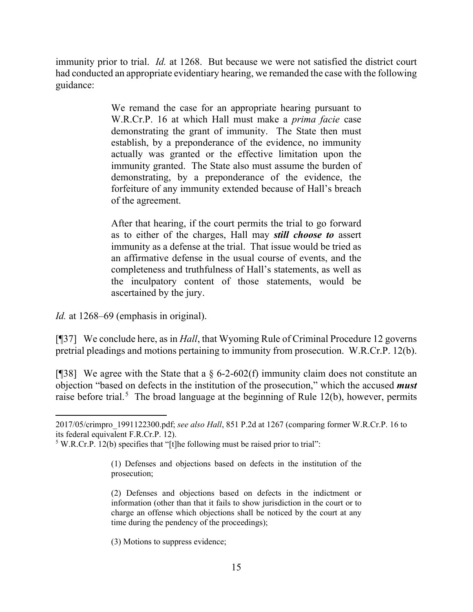immunity prior to trial. *Id.* at 1268. But because we were not satisfied the district court had conducted an appropriate evidentiary hearing, we remanded the case with the following guidance:

> We remand the case for an appropriate hearing pursuant to W.R.Cr.P. 16 at which Hall must make a *prima facie* case demonstrating the grant of immunity. The State then must establish, by a preponderance of the evidence, no immunity actually was granted or the effective limitation upon the immunity granted. The State also must assume the burden of demonstrating, by a preponderance of the evidence, the forfeiture of any immunity extended because of Hall's breach of the agreement.

> After that hearing, if the court permits the trial to go forward as to either of the charges, Hall may *still choose to* assert immunity as a defense at the trial. That issue would be tried as an affirmative defense in the usual course of events, and the completeness and truthfulness of Hall's statements, as well as the inculpatory content of those statements, would be ascertained by the jury.

*Id.* at 1268–69 (emphasis in original).

[¶37] We conclude here, as in *Hall*, that Wyoming Rule of Criminal Procedure 12 governs pretrial pleadings and motions pertaining to immunity from prosecution. W.R.Cr.P. 12(b).

[¶38] We agree with the State that a  $\S$  6-2-602(f) immunity claim does not constitute an objection "based on defects in the institution of the prosecution," which the accused *must* raise before trial.<sup>[5](#page-15-0)</sup> The broad language at the beginning of Rule 12(b), however, permits

(3) Motions to suppress evidence;

<sup>2017/05/</sup>crimpro\_1991122300.pdf; *see also Hall*, 851 P.2d at 1267 (comparing former W.R.Cr.P. 16 to its federal equivalent F.R.Cr.P. 12).

<span id="page-15-0"></span><sup>&</sup>lt;sup>5</sup> W.R.Cr.P. 12(b) specifies that "[t]he following must be raised prior to trial":

<sup>(1)</sup> Defenses and objections based on defects in the institution of the prosecution;

<sup>(2)</sup> Defenses and objections based on defects in the indictment or information (other than that it fails to show jurisdiction in the court or to charge an offense which objections shall be noticed by the court at any time during the pendency of the proceedings);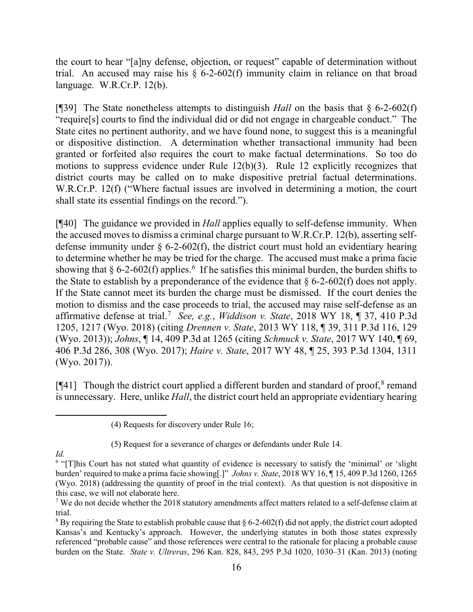the court to hear "[a]ny defense, objection, or request" capable of determination without trial. An accused may raise his  $\S$  6-2-602(f) immunity claim in reliance on that broad language. W.R.Cr.P. 12(b).

[¶39] The State nonetheless attempts to distinguish *Hall* on the basis that § 6-2-602(f) "require[s] courts to find the individual did or did not engage in chargeable conduct." The State cites no pertinent authority, and we have found none, to suggest this is a meaningful or dispositive distinction. A determination whether transactional immunity had been granted or forfeited also requires the court to make factual determinations. So too do motions to suppress evidence under Rule 12(b)(3). Rule 12 explicitly recognizes that district courts may be called on to make dispositive pretrial factual determinations. W.R.Cr.P. 12(f) ("Where factual issues are involved in determining a motion, the court shall state its essential findings on the record.").

[¶40] The guidance we provided in *Hall* applies equally to self-defense immunity. When the accused moves to dismiss a criminal charge pursuant to W.R.Cr.P. 12(b), asserting selfdefense immunity under  $\S$  6-2-602(f), the district court must hold an evidentiary hearing to determine whether he may be tried for the charge. The accused must make a prima facie showing that  $\S 6$  $\S 6$ -2-602(f) applies.<sup>6</sup> If he satisfies this minimal burden, the burden shifts to the State to establish by a preponderance of the evidence that  $\S 6$ -2-602(f) does not apply. If the State cannot meet its burden the charge must be dismissed. If the court denies the motion to dismiss and the case proceeds to trial, the accused may raise self-defense as an affirmative defense at trial.<sup>[7](#page-16-1)</sup> See, e.g., Widdison v. State, 2018 WY 18, ¶ 37, 410 P.3d 1205, 1217 (Wyo. 2018) (citing *Drennen v. State*, 2013 WY 118, ¶ 39, 311 P.3d 116, 129 (Wyo. 2013)); *Johns*, ¶ 14, 409 P.3d at 1265 (citing *Schmuck v. State*, 2017 WY 140, ¶ 69, 406 P.3d 286, 308 (Wyo. 2017); *Haire v. State*, 2017 WY 48, ¶ 25, 393 P.3d 1304, 1311 (Wyo. 2017)).

[¶41] Though the district court applied a different burden and standard of proof,<sup>[8](#page-16-2)</sup> remand is unnecessary. Here, unlike *Hall*, the district court held an appropriate evidentiary hearing

*Id.*

<sup>(4)</sup> Requests for discovery under Rule 16;

<sup>(5)</sup> Request for a severance of charges or defendants under Rule 14.

<span id="page-16-0"></span><sup>6</sup> "[T]his Court has not stated what quantity of evidence is necessary to satisfy the 'minimal' or 'slight burden' required to make a prima facie showing[.]" *Johns v. State*, 2018 WY 16, ¶ 15, 409 P.3d 1260, 1265 (Wyo. 2018) (addressing the quantity of proof in the trial context). As that question is not dispositive in this case, we will not elaborate here.

<span id="page-16-1"></span><sup>&</sup>lt;sup>7</sup> We do not decide whether the 2018 statutory amendments affect matters related to a self-defense claim at trial.

<span id="page-16-2"></span><sup>&</sup>lt;sup>8</sup> By requiring the State to establish probable cause that  $\S 6$ -2-602(f) did not apply, the district court adopted Kansas's and Kentucky's approach. However, the underlying statutes in both those states expressly referenced "probable cause" and those references were central to the rationale for placing a probable cause burden on the State. *State v. Ultreras*, 296 Kan. 828, 843, 295 P.3d 1020, 1030–31 (Kan. 2013) (noting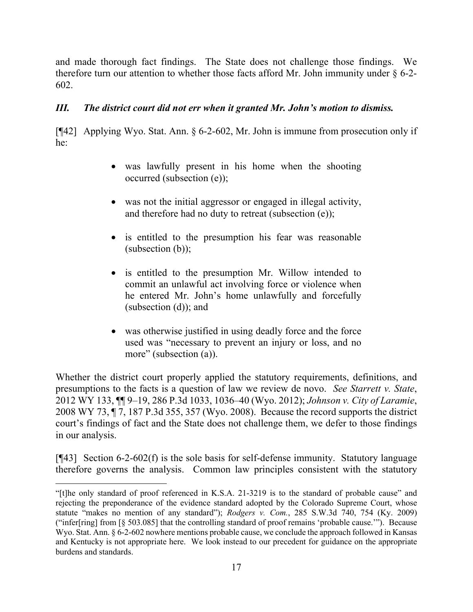and made thorough fact findings. The State does not challenge those findings. We therefore turn our attention to whether those facts afford Mr. John immunity under  $\S$  6-2-602.

## *III. The district court did not err when it granted Mr. John's motion to dismiss.*

[¶42] Applying Wyo. Stat. Ann. § 6-2-602, Mr. John is immune from prosecution only if he:

- was lawfully present in his home when the shooting occurred (subsection (e));
- was not the initial aggressor or engaged in illegal activity, and therefore had no duty to retreat (subsection (e));
- is entitled to the presumption his fear was reasonable (subsection (b));
- is entitled to the presumption Mr. Willow intended to commit an unlawful act involving force or violence when he entered Mr. John's home unlawfully and forcefully (subsection (d)); and
- was otherwise justified in using deadly force and the force used was "necessary to prevent an injury or loss, and no more" (subsection (a)).

Whether the district court properly applied the statutory requirements, definitions, and presumptions to the facts is a question of law we review de novo. *See Starrett v. State*, 2012 WY 133, ¶¶ 9–19, 286 P.3d 1033, 1036–40 (Wyo. 2012); *Johnson v. City of Laramie*, 2008 WY 73, ¶ 7, 187 P.3d 355, 357 (Wyo. 2008). Because the record supports the district court's findings of fact and the State does not challenge them, we defer to those findings in our analysis.

[¶43] Section 6-2-602(f) is the sole basis for self-defense immunity. Statutory language therefore governs the analysis. Common law principles consistent with the statutory

<sup>&</sup>quot;[t]he only standard of proof referenced in K.S.A. 21-3219 is to the standard of probable cause" and rejecting the preponderance of the evidence standard adopted by the Colorado Supreme Court, whose statute "makes no mention of any standard"); *Rodgers v. Com.*, 285 S.W.3d 740, 754 (Ky. 2009) ("infer[ring] from [§ 503.085] that the controlling standard of proof remains 'probable cause.'"). Because Wyo. Stat. Ann. § 6-2-602 nowhere mentions probable cause, we conclude the approach followed in Kansas and Kentucky is not appropriate here. We look instead to our precedent for guidance on the appropriate burdens and standards.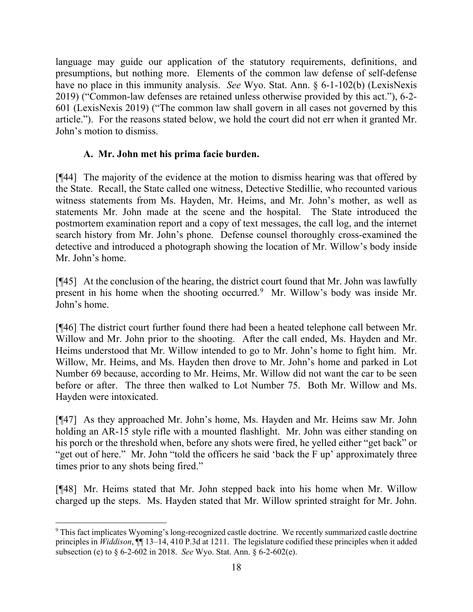language may guide our application of the statutory requirements, definitions, and presumptions, but nothing more. Elements of the common law defense of self-defense have no place in this immunity analysis. *See* Wyo. Stat. Ann. § 6-1-102(b) (LexisNexis 2019) ("Common-law defenses are retained unless otherwise provided by this act."), 6-2- 601 (LexisNexis 2019) ("The common law shall govern in all cases not governed by this article."). For the reasons stated below, we hold the court did not err when it granted Mr. John's motion to dismiss.

## **A. Mr. John met his prima facie burden.**

[¶44] The majority of the evidence at the motion to dismiss hearing was that offered by the State. Recall, the State called one witness, Detective Stedillie, who recounted various witness statements from Ms. Hayden, Mr. Heims, and Mr. John's mother, as well as statements Mr. John made at the scene and the hospital. The State introduced the postmortem examination report and a copy of text messages, the call log, and the internet search history from Mr. John's phone. Defense counsel thoroughly cross-examined the detective and introduced a photograph showing the location of Mr. Willow's body inside Mr. John's home.

[¶45] At the conclusion of the hearing, the district court found that Mr. John was lawfully present in his home when the shooting occurred.[9](#page-18-0) Mr. Willow's body was inside Mr. John's home.

[¶46] The district court further found there had been a heated telephone call between Mr. Willow and Mr. John prior to the shooting. After the call ended, Ms. Hayden and Mr. Heims understood that Mr. Willow intended to go to Mr. John's home to fight him. Mr. Willow, Mr. Heims, and Ms. Hayden then drove to Mr. John's home and parked in Lot Number 69 because, according to Mr. Heims, Mr. Willow did not want the car to be seen before or after. The three then walked to Lot Number 75. Both Mr. Willow and Ms. Hayden were intoxicated.

[¶47] As they approached Mr. John's home, Ms. Hayden and Mr. Heims saw Mr. John holding an AR-15 style rifle with a mounted flashlight. Mr. John was either standing on his porch or the threshold when, before any shots were fired, he yelled either "get back" or "get out of here." Mr. John "told the officers he said 'back the F up' approximately three times prior to any shots being fired."

[¶48] Mr. Heims stated that Mr. John stepped back into his home when Mr. Willow charged up the steps. Ms. Hayden stated that Mr. Willow sprinted straight for Mr. John.

<span id="page-18-0"></span><sup>9</sup> This fact implicates Wyoming's long-recognized castle doctrine. We recently summarized castle doctrine principles in *Widdison*, ¶¶ 13–14, 410 P.3d at 1211. The legislature codified these principles when it added subsection (e) to § 6-2-602 in 2018. *See* Wyo. Stat. Ann. § 6-2-602(e).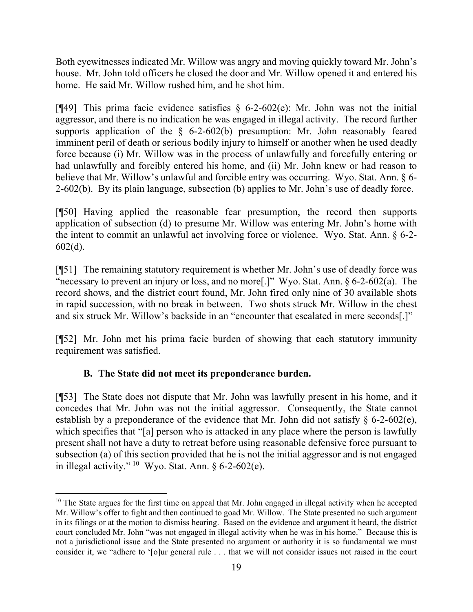Both eyewitnesses indicated Mr. Willow was angry and moving quickly toward Mr. John's house. Mr. John told officers he closed the door and Mr. Willow opened it and entered his home. He said Mr. Willow rushed him, and he shot him.

[ $[$ 49] This prima facie evidence satisfies § 6-2-602(e): Mr. John was not the initial aggressor, and there is no indication he was engaged in illegal activity. The record further supports application of the  $\S$  6-2-602(b) presumption: Mr. John reasonably feared imminent peril of death or serious bodily injury to himself or another when he used deadly force because (i) Mr. Willow was in the process of unlawfully and forcefully entering or had unlawfully and forcibly entered his home, and (ii) Mr. John knew or had reason to believe that Mr. Willow's unlawful and forcible entry was occurring. Wyo. Stat. Ann. § 6- 2-602(b). By its plain language, subsection (b) applies to Mr. John's use of deadly force.

[¶50] Having applied the reasonable fear presumption, the record then supports application of subsection (d) to presume Mr. Willow was entering Mr. John's home with the intent to commit an unlawful act involving force or violence. Wyo. Stat. Ann. § 6-2- 602(d).

[¶51] The remaining statutory requirement is whether Mr. John's use of deadly force was "necessary to prevent an injury or loss, and no more[.]" Wyo. Stat. Ann. § 6-2-602(a). The record shows, and the district court found, Mr. John fired only nine of 30 available shots in rapid succession, with no break in between. Two shots struck Mr. Willow in the chest and six struck Mr. Willow's backside in an "encounter that escalated in mere seconds[.]"

[¶52] Mr. John met his prima facie burden of showing that each statutory immunity requirement was satisfied.

# **B. The State did not meet its preponderance burden.**

[¶53] The State does not dispute that Mr. John was lawfully present in his home, and it concedes that Mr. John was not the initial aggressor. Consequently, the State cannot establish by a preponderance of the evidence that Mr. John did not satisfy  $\S$  6-2-602(e), which specifies that "[a] person who is attacked in any place where the person is lawfully present shall not have a duty to retreat before using reasonable defensive force pursuant to subsection (a) of this section provided that he is not the initial aggressor and is not engaged in illegal activity." [10](#page-19-0) Wyo. Stat. Ann. § 6-2-602(e).

<span id="page-19-0"></span> $10$  The State argues for the first time on appeal that Mr. John engaged in illegal activity when he accepted Mr. Willow's offer to fight and then continued to goad Mr. Willow. The State presented no such argument in its filings or at the motion to dismiss hearing. Based on the evidence and argument it heard, the district court concluded Mr. John "was not engaged in illegal activity when he was in his home." Because this is not a jurisdictional issue and the State presented no argument or authority it is so fundamental we must consider it, we "adhere to '[o]ur general rule . . . that we will not consider issues not raised in the court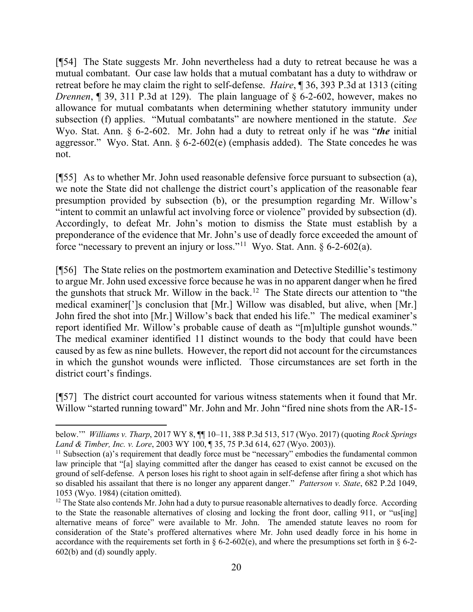[¶54] The State suggests Mr. John nevertheless had a duty to retreat because he was a mutual combatant. Our case law holds that a mutual combatant has a duty to withdraw or retreat before he may claim the right to self-defense. *Haire*, ¶ 36, 393 P.3d at 1313 (citing *Drennen*, ¶ 39, 311 P.3d at 129). The plain language of § 6-2-602, however, makes no allowance for mutual combatants when determining whether statutory immunity under subsection (f) applies. "Mutual combatants" are nowhere mentioned in the statute. *See*  Wyo. Stat. Ann. § 6-2-602. Mr. John had a duty to retreat only if he was "*the* initial aggressor." Wyo. Stat. Ann. § 6-2-602(e) (emphasis added). The State concedes he was not.

[¶55] As to whether Mr. John used reasonable defensive force pursuant to subsection (a), we note the State did not challenge the district court's application of the reasonable fear presumption provided by subsection (b), or the presumption regarding Mr. Willow's "intent to commit an unlawful act involving force or violence" provided by subsection (d). Accordingly, to defeat Mr. John's motion to dismiss the State must establish by a preponderance of the evidence that Mr. John's use of deadly force exceeded the amount of force "necessary to prevent an injury or loss."<sup>[11](#page-20-0)</sup> Wyo. Stat. Ann.  $\S 6$ -2-602(a).

[¶56] The State relies on the postmortem examination and Detective Stedillie's testimony to argue Mr. John used excessive force because he was in no apparent danger when he fired the gunshots that struck Mr. Willow in the back.<sup>12</sup> The State directs our attention to "the medical examiner[']s conclusion that [Mr.] Willow was disabled, but alive, when [Mr.] John fired the shot into [Mr.] Willow's back that ended his life." The medical examiner's report identified Mr. Willow's probable cause of death as "[m]ultiple gunshot wounds." The medical examiner identified 11 distinct wounds to the body that could have been caused by as few as nine bullets. However, the report did not account for the circumstances in which the gunshot wounds were inflicted. Those circumstances are set forth in the district court's findings.

[¶57] The district court accounted for various witness statements when it found that Mr. Willow "started running toward" Mr. John and Mr. John "fired nine shots from the AR-15-

below.'" *Williams v. Tharp*, 2017 WY 8, ¶¶ 10–11, 388 P.3d 513, 517 (Wyo. 2017) (quoting *Rock Springs Land & Timber, Inc. v. Lore*, 2003 WY 100, ¶ 35, 75 P.3d 614, 627 (Wyo. 2003)).

<span id="page-20-0"></span><sup>&</sup>lt;sup>11</sup> Subsection (a)'s requirement that deadly force must be "necessary" embodies the fundamental common law principle that "[a] slaying committed after the danger has ceased to exist cannot be excused on the ground of self-defense. A person loses his right to shoot again in self-defense after firing a shot which has so disabled his assailant that there is no longer any apparent danger." *Patterson v. State*, 682 P.2d 1049, 1053 (Wyo. 1984) (citation omitted).

<span id="page-20-1"></span> $12$  The State also contends Mr. John had a duty to pursue reasonable alternatives to deadly force. According to the State the reasonable alternatives of closing and locking the front door, calling 911, or "us[ing] alternative means of force" were available to Mr. John. The amended statute leaves no room for consideration of the State's proffered alternatives where Mr. John used deadly force in his home in accordance with the requirements set forth in  $\S 6-2-602(e)$ , and where the presumptions set forth in  $\S 6-2-$ 602(b) and (d) soundly apply.